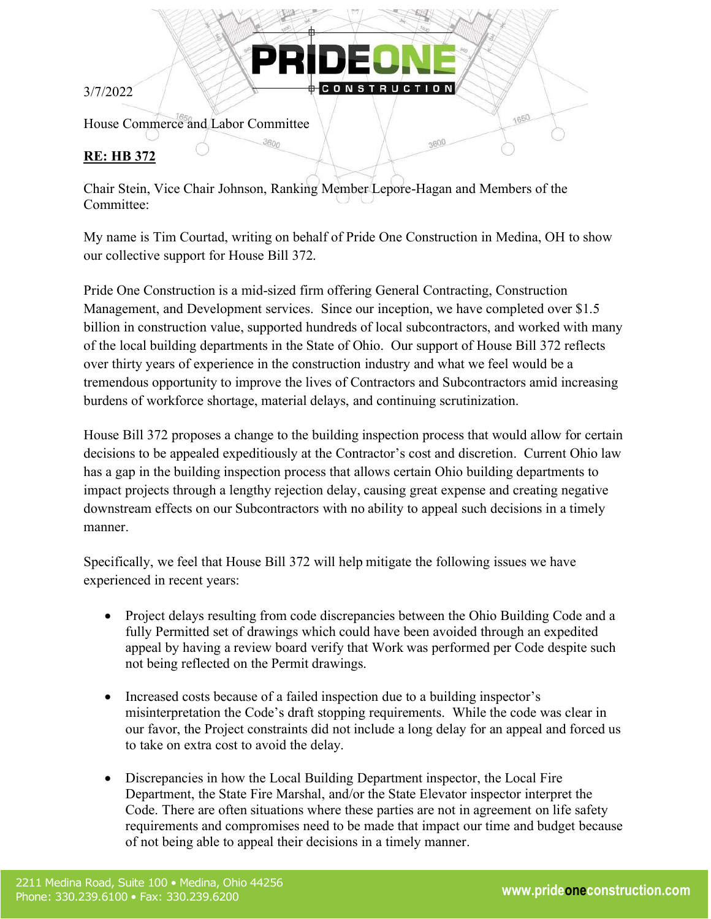3/7/2022

House Commerce and Labor Committee

## **RE: HB 372**

Chair Stein, Vice Chair Johnson, Ranking Member Lepore-Hagan and Members of the Committee:

PR

 $3600$ 

My name is Tim Courtad, writing on behalf of Pride One Construction in Medina, OH to show our collective support for House Bill 372.

1650

3600

Pride One Construction is a mid-sized firm offering General Contracting, Construction Management, and Development services. Since our inception, we have completed over \$1.5 billion in construction value, supported hundreds of local subcontractors, and worked with many of the local building departments in the State of Ohio. Our support of House Bill 372 reflects over thirty years of experience in the construction industry and what we feel would be a tremendous opportunity to improve the lives of Contractors and Subcontractors amid increasing burdens of workforce shortage, material delays, and continuing scrutinization.

House Bill 372 proposes a change to the building inspection process that would allow for certain decisions to be appealed expeditiously at the Contractor's cost and discretion. Current Ohio law has a gap in the building inspection process that allows certain Ohio building departments to impact projects through a lengthy rejection delay, causing great expense and creating negative downstream effects on our Subcontractors with no ability to appeal such decisions in a timely manner.

Specifically, we feel that House Bill 372 will help mitigate the following issues we have experienced in recent years:

- Project delays resulting from code discrepancies between the Ohio Building Code and a fully Permitted set of drawings which could have been avoided through an expedited appeal by having a review board verify that Work was performed per Code despite such not being reflected on the Permit drawings.
- Increased costs because of a failed inspection due to a building inspector's misinterpretation the Code's draft stopping requirements. While the code was clear in our favor, the Project constraints did not include a long delay for an appeal and forced us to take on extra cost to avoid the delay.
- Discrepancies in how the Local Building Department inspector, the Local Fire Department, the State Fire Marshal, and/or the State Elevator inspector interpret the Code. There are often situations where these parties are not in agreement on life safety requirements and compromises need to be made that impact our time and budget because of not being able to appeal their decisions in a timely manner.